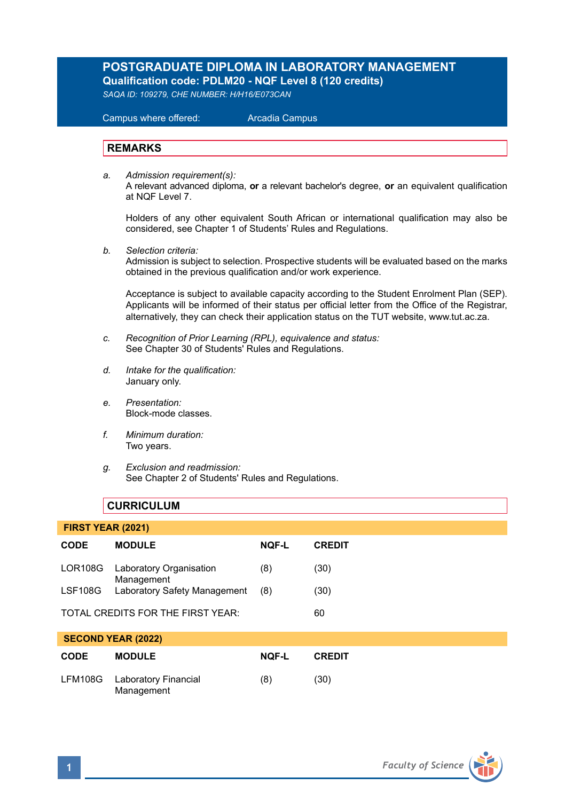# **POSTGRADUATE DIPLOMA IN LABORATORY MANAGEMENT Qualification code: PDLM20 - NQF Level 8 (120 credits)**

*SAQA ID: 109279, CHE NUMBER: H/H16/E073CAN* 

 Campus where offered: Arcadia Campus

## **REMARKS**

*a. Admission requirement(s):*  A relevant advanced diploma, **or** a relevant bachelor's degree, **or** an equivalent qualification at NQF Level 7.

Holders of any other equivalent South African or international qualification may also be considered, see Chapter 1 of Students' Rules and Regulations.

*b. Selection criteria:*

Admission is subject to selection. Prospective students will be evaluated based on the marks obtained in the previous qualification and/or work experience.

Acceptance is subject to available capacity according to the Student Enrolment Plan (SEP). Applicants will be informed of their status per official letter from the Office of the Registrar, alternatively, they can check their application status on the TUT website, www.tut.ac.za.

- *c. Recognition of Prior Learning (RPL), equivalence and status:* See Chapter 30 of Students' Rules and Regulations.
- *d. Intake for the qualification:* January only.
- *e. Presentation:* Block-mode classes.
- *f. Minimum duration:* Two years.
- *g. Exclusion and readmission:* See Chapter 2 of Students' Rules and Regulations.

# **CURRICULUM**

| <b>FIRST YEAR (2021)</b>          |                                              |              |               |  |
|-----------------------------------|----------------------------------------------|--------------|---------------|--|
| <b>CODE</b>                       | <b>MODULE</b>                                | <b>NOF-L</b> | <b>CREDIT</b> |  |
| LOR108G                           | <b>Laboratory Organisation</b><br>Management | (8)          | (30)          |  |
| LSF108G                           | Laboratory Safety Management                 | (8)          | (30)          |  |
| TOTAL CREDITS FOR THE FIRST YEAR: |                                              |              | 60            |  |
|                                   | <b>SECOND YEAR (2022)</b>                    |              |               |  |

| <b>CODE</b> | <b>MODULE</b>                              | NOF-L | <b>CREDIT</b> |  |
|-------------|--------------------------------------------|-------|---------------|--|
|             | LFM108G Laboratory Financial<br>Management | (8)   | (30)          |  |